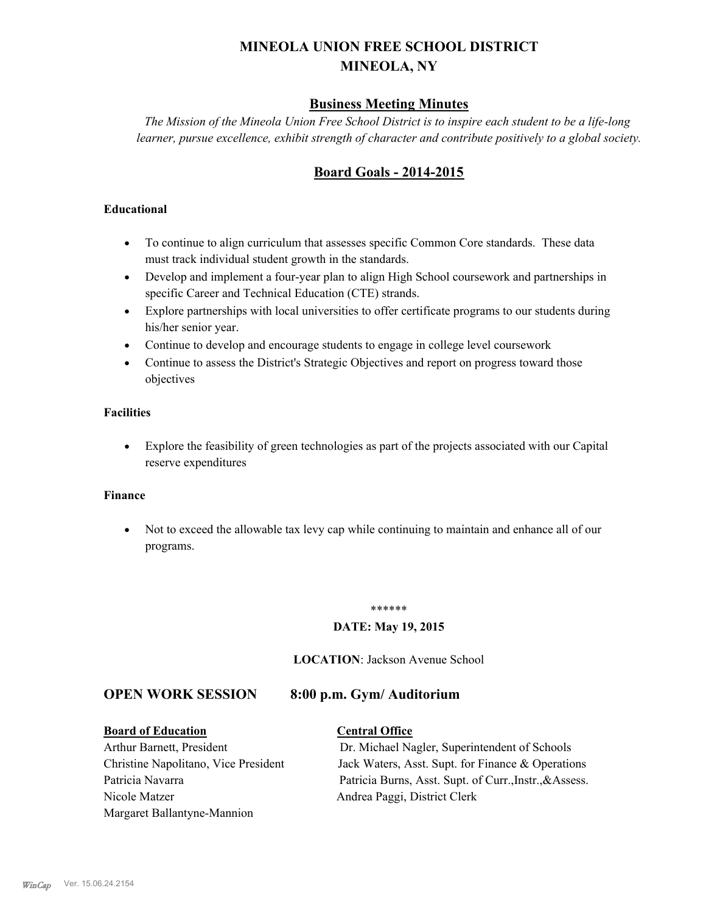# **MINEOLA UNION FREE SCHOOL DISTRICT MINEOLA, NY**

# **Business Meeting Minutes**

*The Mission of the Mineola Union Free School District is to inspire each student to be a life-long learner, pursue excellence, exhibit strength of character and contribute positively to a global society.*

# **Board Goals - 2014-2015**

### **Educational**

- · To continue to align curriculum that assesses specific Common Core standards. These data must track individual student growth in the standards.
- · Develop and implement a four-year plan to align High School coursework and partnerships in specific Career and Technical Education (CTE) strands.
- · Explore partnerships with local universities to offer certificate programs to our students during his/her senior year.
- · Continue to develop and encourage students to engage in college level coursework
- Continue to assess the District's Strategic Objectives and report on progress toward those objectives

### **Facilities**

· Explore the feasibility of green technologies as part of the projects associated with our Capital reserve expenditures

#### **Finance**

· Not to exceed the allowable tax levy cap while continuing to maintain and enhance all of our programs.

#### \*\*\*\*\*\*

### **DATE: May 19, 2015**

**LOCATION**: Jackson Avenue School

# **OPEN WORK SESSION 8:00 p.m. Gym/ Auditorium**

#### **Board of Education Central Office**

Nicole Matzer Andrea Paggi, District Clerk Margaret Ballantyne-Mannion

Arthur Barnett, President Dr. Michael Nagler, Superintendent of Schools Christine Napolitano, Vice President Jack Waters, Asst. Supt. for Finance & Operations Patricia Navarra Patricia Burns, Asst. Supt. of Curr., Instr., & Assess.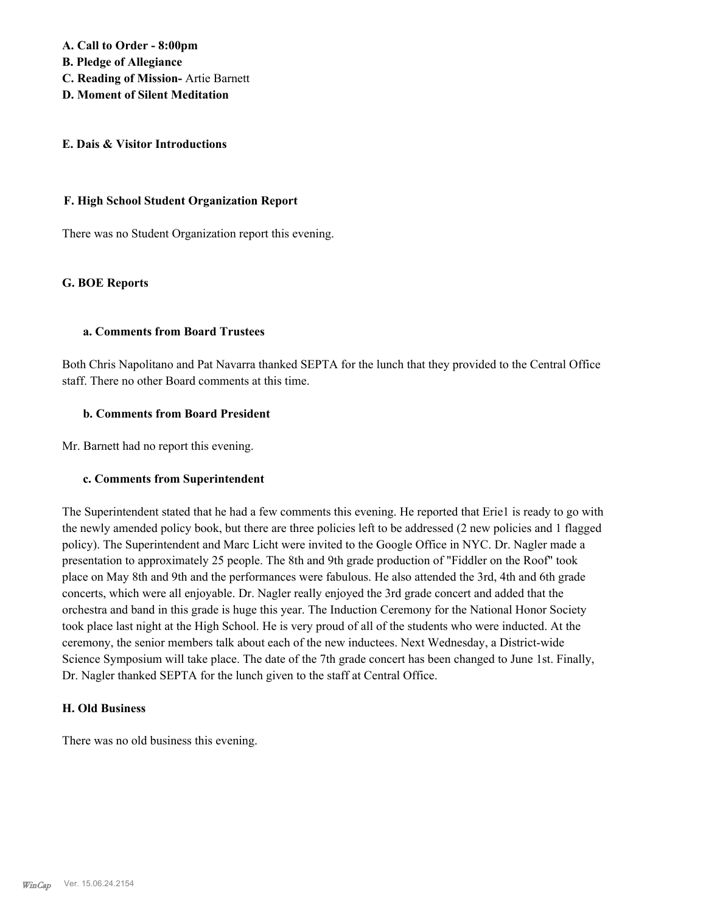**A. Call to Order - 8:00pm**

**B. Pledge of Allegiance**

- **C. Reading of Mission-** Artie Barnett
- **D. Moment of Silent Meditation**

#### **E. Dais & Visitor Introductions**

#### **F. High School Student Organization Report**

There was no Student Organization report this evening.

### **G. BOE Reports**

#### **a. Comments from Board Trustees**

Both Chris Napolitano and Pat Navarra thanked SEPTA for the lunch that they provided to the Central Office staff. There no other Board comments at this time.

#### **b. Comments from Board President**

Mr. Barnett had no report this evening.

### **c. Comments from Superintendent**

The Superintendent stated that he had a few comments this evening. He reported that Erie1 is ready to go with the newly amended policy book, but there are three policies left to be addressed (2 new policies and 1 flagged policy). The Superintendent and Marc Licht were invited to the Google Office in NYC. Dr. Nagler made a presentation to approximately 25 people. The 8th and 9th grade production of "Fiddler on the Roof" took place on May 8th and 9th and the performances were fabulous. He also attended the 3rd, 4th and 6th grade concerts, which were all enjoyable. Dr. Nagler really enjoyed the 3rd grade concert and added that the orchestra and band in this grade is huge this year. The Induction Ceremony for the National Honor Society took place last night at the High School. He is very proud of all of the students who were inducted. At the ceremony, the senior members talk about each of the new inductees. Next Wednesday, a District-wide Science Symposium will take place. The date of the 7th grade concert has been changed to June 1st. Finally, Dr. Nagler thanked SEPTA for the lunch given to the staff at Central Office.

#### **H. Old Business**

There was no old business this evening.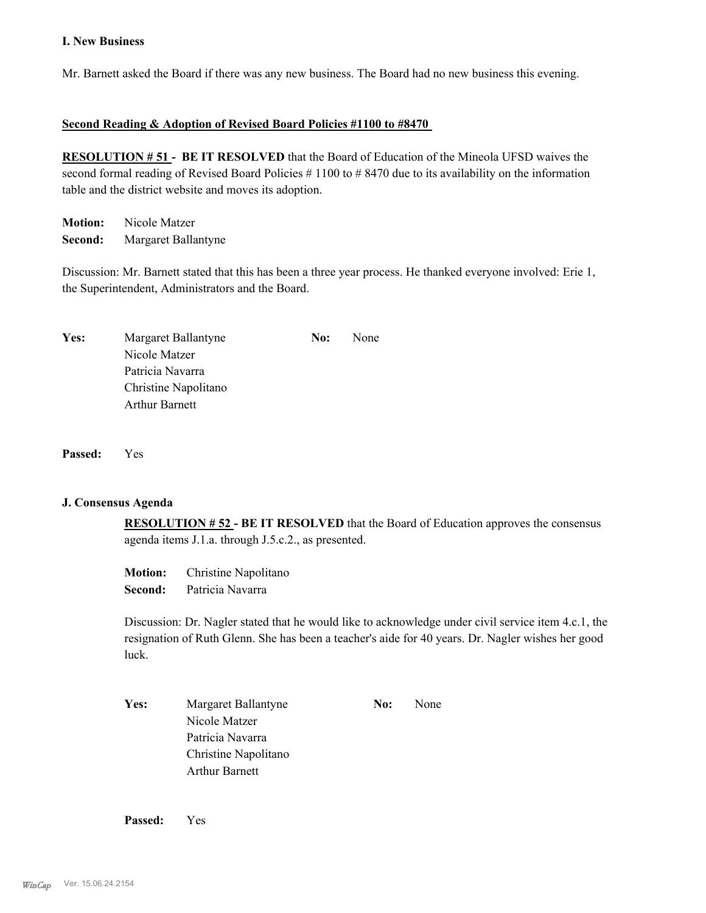#### **I. New Business**

Mr. Barnett asked the Board if there was any new business. The Board had no new business this evening.

#### **Second Reading & Adoption of Revised Board Policies #1100 to #8470**

**RESOLUTION # 51 - BE IT RESOLVED** that the Board of Education of the Mineola UFSD waives the second formal reading of Revised Board Policies # 1100 to # 8470 due to its availability on the information table and the district website and moves its adoption.

**Motion:** Nicole Matzer **Second:** Margaret Ballantyne

Discussion: Mr. Barnett stated that this has been a three year process. He thanked everyone involved: Erie 1, the Superintendent, Administrators and the Board.

| Yes: | Margaret Ballantyne   | No: | None |
|------|-----------------------|-----|------|
|      | Nicole Matzer         |     |      |
|      | Patricia Navarra      |     |      |
|      | Christine Napolitano  |     |      |
|      | <b>Arthur Barnett</b> |     |      |

**Passed:** Yes

#### **J. Consensus Agenda**

**RESOLUTION # 52 - BE IT RESOLVED** that the Board of Education approves the consensus agenda items J.1.a. through J.5.c.2., as presented.

| <b>Motion:</b> | Christine Napolitano |
|----------------|----------------------|
| Second:        | Patricia Navarra     |

Discussion: Dr. Nagler stated that he would like to acknowledge under civil service item 4.c.1, the resignation of Ruth Glenn. She has been a teacher's aide for 40 years. Dr. Nagler wishes her good luck.

Yes: Margaret Ballantyne **No:** None Nicole Matzer Patricia Navarra Christine Napolitano Arthur Barnett

**Passed:** Yes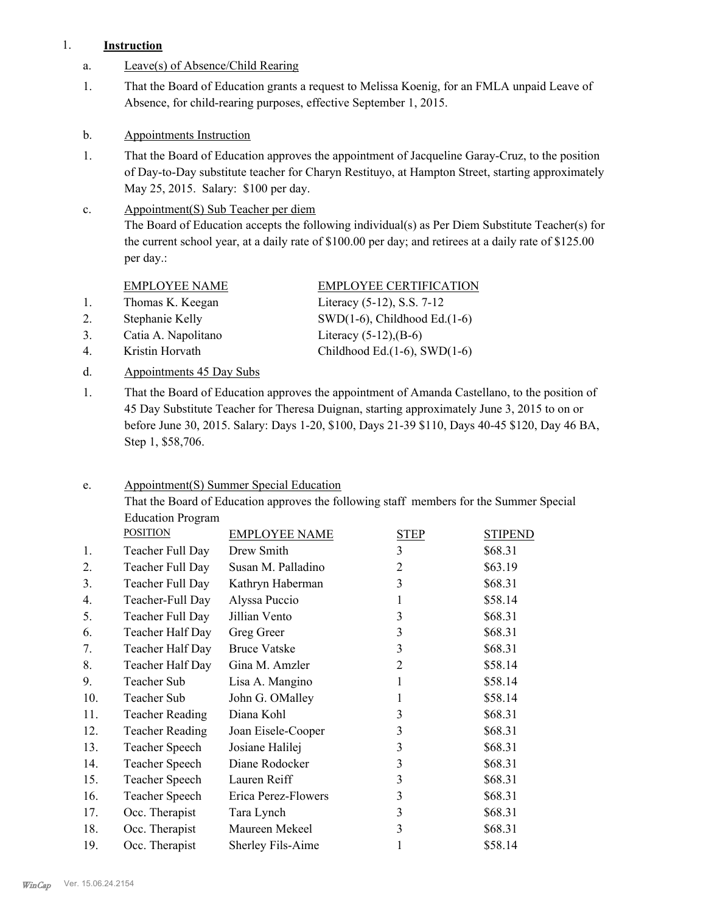## 1. **Instruction**

- a. Leave(s) of Absence/Child Rearing
- That the Board of Education grants a request to Melissa Koenig, for an FMLA unpaid Leave of Absence, for child-rearing purposes, effective September 1, 2015. 1.
- b. Appointments Instruction
- That the Board of Education approves the appointment of Jacqueline Garay-Cruz, to the position of Day-to-Day substitute teacher for Charyn Restituyo, at Hampton Street, starting approximately May 25, 2015. Salary: \$100 per day. 1.

#### Appointment(S) Sub Teacher per diem The Board of Education accepts the following individual(s) as Per Diem Substitute Teacher(s) for the current school year, at a daily rate of \$100.00 per day; and retirees at a daily rate of \$125.00 per day.: c.

- 1. Thomas K. Keegan Literacy (5-12), S.S. 7-12
- 

3. Catia A. Napolitano Literacy (5-12),(B-6)

- 
- d. Appointments 45 Day Subs

EMPLOYEE NAME EMPLOYEE CERTIFICATION

2. Stephanie Kelly SWD(1-6), Childhood Ed.(1-6) 4. Kristin Horvath Childhood Ed.(1-6), SWD(1-6)

That the Board of Education approves the appointment of Amanda Castellano, to the position of 45 Day Substitute Teacher for Theresa Duignan, starting approximately June 3, 2015 to on or before June 30, 2015. Salary: Days 1-20, \$100, Days 21-39 \$110, Days 40-45 \$120, Day 46 BA, Step 1, \$58,706. 1.

#### Appointment(S) Summer Special Education e.

That the Board of Education approves the following staff members for the Summer Special Education Program

|     | <b>POSITION</b>        | <b>EMPLOYEE NAME</b> | <b>STEP</b>    | <b>STIPEND</b> |
|-----|------------------------|----------------------|----------------|----------------|
| 1.  | Teacher Full Day       | Drew Smith           | 3              | \$68.31        |
| 2.  | Teacher Full Day       | Susan M. Palladino   | $\overline{2}$ | \$63.19        |
| 3.  | Teacher Full Day       | Kathryn Haberman     | $\overline{3}$ | \$68.31        |
| 4.  | Teacher-Full Day       | Alyssa Puccio        | 1              | \$58.14        |
| 5.  | Teacher Full Day       | Jillian Vento        | 3              | \$68.31        |
| 6.  | Teacher Half Day       | Greg Greer           | 3              | \$68.31        |
| 7.  | Teacher Half Day       | <b>Bruce Vatske</b>  | 3              | \$68.31        |
| 8.  | Teacher Half Day       | Gina M. Amzler       | $\overline{2}$ | \$58.14        |
| 9.  | Teacher Sub            | Lisa A. Mangino      | 1              | \$58.14        |
| 10. | Teacher Sub            | John G. OMalley      | 1              | \$58.14        |
| 11. | <b>Teacher Reading</b> | Diana Kohl           | 3              | \$68.31        |
| 12. | <b>Teacher Reading</b> | Joan Eisele-Cooper   | $\overline{3}$ | \$68.31        |
| 13. | Teacher Speech         | Josiane Halilej      | 3              | \$68.31        |
| 14. | Teacher Speech         | Diane Rodocker       | 3              | \$68.31        |
| 15. | Teacher Speech         | Lauren Reiff         | 3              | \$68.31        |
| 16. | Teacher Speech         | Erica Perez-Flowers  | 3              | \$68.31        |
| 17. | Occ. Therapist         | Tara Lynch           | 3              | \$68.31        |
| 18. | Occ. Therapist         | Maureen Mekeel       | 3              | \$68.31        |
| 19. | Occ. Therapist         | Sherley Fils-Aime    | 1              | \$58.14        |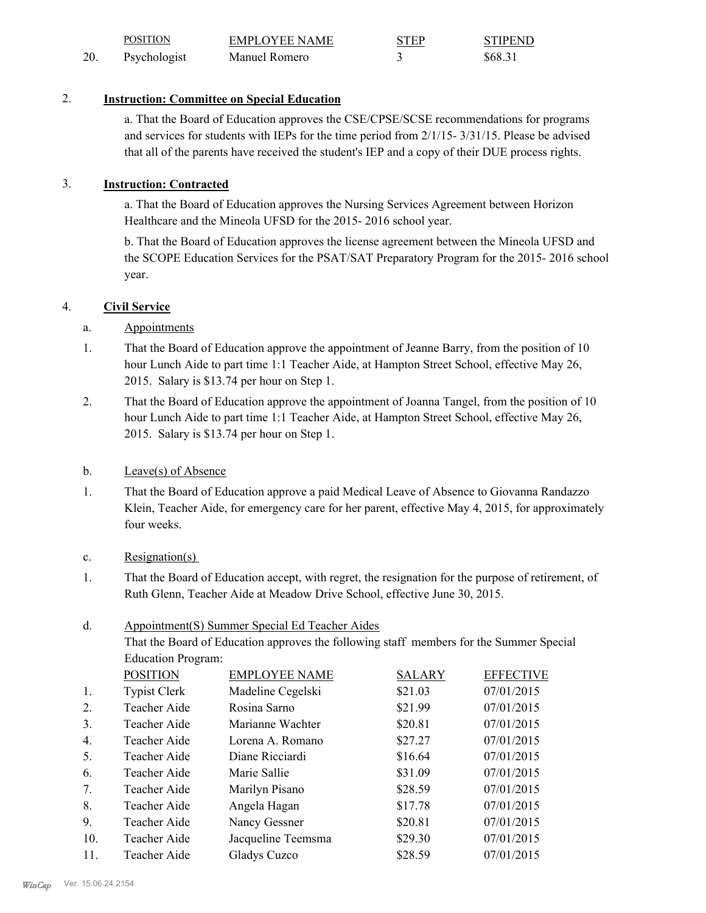|     | <b>POSITION</b> | <b>EMPLOYEE NAME</b> | <b>STEP</b> | <b>STIPEND</b> |
|-----|-----------------|----------------------|-------------|----------------|
| 20. | Psychologist    | Manuel Romero        |             | \$68.31        |

# 2. **Instruction: Committee on Special Education**

a. That the Board of Education approves the CSE/CPSE/SCSE recommendations for programs and services for students with IEPs for the time period from 2/1/15- 3/31/15. Please be advised that all of the parents have received the student's IEP and a copy of their DUE process rights.

# 3. **Instruction: Contracted**

a. That the Board of Education approves the Nursing Services Agreement between Horizon Healthcare and the Mineola UFSD for the 2015- 2016 school year.

b. That the Board of Education approves the license agreement between the Mineola UFSD and the SCOPE Education Services for the PSAT/SAT Preparatory Program for the 2015- 2016 school year.

# 4. **Civil Service**

# a. Appointments

- That the Board of Education approve the appointment of Jeanne Barry, from the position of 10 hour Lunch Aide to part time 1:1 Teacher Aide, at Hampton Street School, effective May 26, 2015. Salary is \$13.74 per hour on Step 1. 1.
- That the Board of Education approve the appointment of Joanna Tangel, from the position of 10 hour Lunch Aide to part time 1:1 Teacher Aide, at Hampton Street School, effective May 26, 2015. Salary is \$13.74 per hour on Step 1. 2.

### b. Leave(s) of Absence

That the Board of Education approve a paid Medical Leave of Absence to Giovanna Randazzo Klein, Teacher Aide, for emergency care for her parent, effective May 4, 2015, for approximately four weeks. 1.

### c. Resignation(s)

That the Board of Education accept, with regret, the resignation for the purpose of retirement, of Ruth Glenn, Teacher Aide at Meadow Drive School, effective June 30, 2015. 1.

#### Appointment(S) Summer Special Ed Teacher Aides d.

That the Board of Education approves the following staff members for the Summer Special Education Program:

|                    | <b>SALARY</b>        | <b>EFFECTIVE</b>                                                                                                      |
|--------------------|----------------------|-----------------------------------------------------------------------------------------------------------------------|
| Madeline Cegelski  |                      | 07/01/2015                                                                                                            |
| Rosina Sarno       |                      | 07/01/2015                                                                                                            |
| Marianne Wachter   |                      | 07/01/2015                                                                                                            |
| Lorena A. Romano   |                      | 07/01/2015                                                                                                            |
| Diane Ricciardi    |                      | 07/01/2015                                                                                                            |
| Marie Sallie       |                      | 07/01/2015                                                                                                            |
| Marilyn Pisano     |                      | 07/01/2015                                                                                                            |
| Angela Hagan       |                      | 07/01/2015                                                                                                            |
| Nancy Gessner      |                      | 07/01/2015                                                                                                            |
| Jacqueline Teemsma |                      | 07/01/2015                                                                                                            |
| Gladys Cuzco       |                      | 07/01/2015                                                                                                            |
|                    | <b>EMPLOYEE NAME</b> | \$21.03<br>\$21.99<br>\$20.81<br>\$27.27<br>\$16.64<br>\$31.09<br>\$28.59<br>\$17.78<br>\$20.81<br>\$29.30<br>\$28.59 |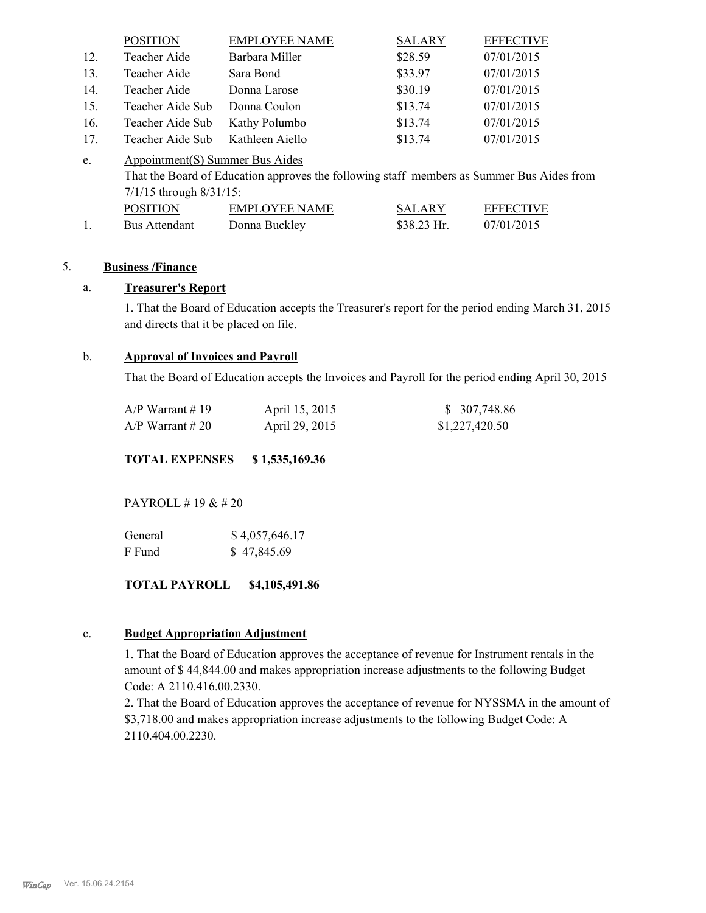|     | <b>POSITION</b>                 | <b>EMPLOYEE NAME</b>                                                                      | <b>SALARY</b> | <b>EFFECTIVE</b> |
|-----|---------------------------------|-------------------------------------------------------------------------------------------|---------------|------------------|
| 12. | Teacher Aide                    | Barbara Miller                                                                            | \$28.59       | 07/01/2015       |
| 13. | Teacher Aide                    | Sara Bond                                                                                 | \$33.97       | 07/01/2015       |
| 14. | Teacher Aide                    | Donna Larose                                                                              | \$30.19       | 07/01/2015       |
| 15. | Teacher Aide Sub                | Donna Coulon                                                                              | \$13.74       | 07/01/2015       |
| 16. | Teacher Aide Sub                | Kathy Polumbo                                                                             | \$13.74       | 07/01/2015       |
| 17. | Teacher Aide Sub                | Kathleen Aiello                                                                           | \$13.74       | 07/01/2015       |
| e.  | Appointment(S) Summer Bus Aides |                                                                                           |               |                  |
|     |                                 | That the Board of Education approves the following staff members as Summer Bus Aides from |               |                  |
|     | $7/1/15$ through $8/31/15$ :    |                                                                                           |               |                  |
|     | <b>POSITION</b>                 | <b>EMPLOYEE NAME</b>                                                                      | <b>SALARY</b> | <b>EFFECTIVE</b> |
|     | <b>Bus Attendant</b>            | Donna Buckley                                                                             | \$38.23 Hr.   | 07/01/2015       |

### 5. **Business /Finance**

# a. **Treasurer's Report**

1. That the Board of Education accepts the Treasurer's report for the period ending March 31, 2015 and directs that it be placed on file.

#### b. **Approval of Invoices and Payroll**

That the Board of Education accepts the Invoices and Payroll for the period ending April 30, 2015

| A/P Warrant # 19 | April 15, 2015 | \$ 307,748.86  |
|------------------|----------------|----------------|
| A/P Warrant # 20 | April 29, 2015 | \$1,227,420.50 |

**TOTAL EXPENSES \$ 1,535,169.36**

PAYROLL # 19 & # 20

| General | \$4,057,646.17 |
|---------|----------------|
| F Fund  | \$47,845.69    |

#### **TOTAL PAYROLL \$4,105,491.86**

#### c. **Budget Appropriation Adjustment**

1. That the Board of Education approves the acceptance of revenue for Instrument rentals in the amount of \$ 44,844.00 and makes appropriation increase adjustments to the following Budget Code: A 2110.416.00.2330.

2. That the Board of Education approves the acceptance of revenue for NYSSMA in the amount of \$3,718.00 and makes appropriation increase adjustments to the following Budget Code: A 2110.404.00.2230.